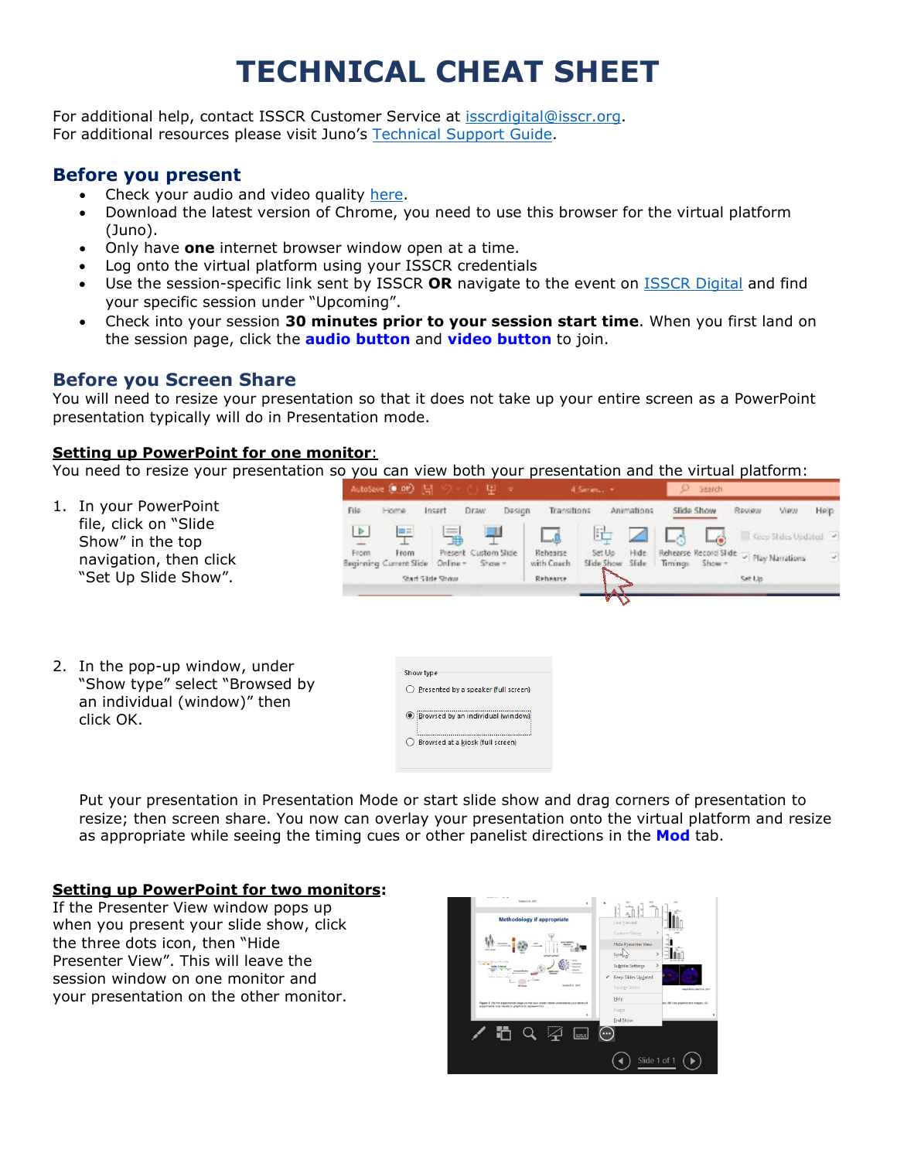# **TECHNICAL CHEAT SHEET**

For additional help, contact ISSCR Customer Service at [isscrdigital@isscr.org.](mailto:isscrdigital@isscr.org) For additional resources please visit Juno's [Technical Support Guide.](https://help.junolive.com/support/index.html)

## **Before you present**

- Check your audio and video quality [here.](https://tokbox.com/developer/tools/precall/results)
- Download the latest version of Chrome, you need to use this browser for the virtual platform (Juno).
- Only have **one** internet browser window open at a time.
- Log onto the virtual platform using your ISSCR credentials
- Use the session-specific link sent by ISSCR **OR** navigate to the event on [ISSCR Digital](https://isscr.junolive.co/Home) and find your specific session under "Upcoming".
- Check into your session **30 minutes prior to your session start time**. When you first land on the session page, click the **audio button** and **video button** to join.

## **Before you Screen Share**

You will need to resize your presentation so that it does not take up your entire screen as a PowerPoint presentation typically will do in Presentation mode.

#### **Setting up PowerPoint for one monitor**:

You need to resize your presentation so you can view both your presentation and the virtual platform:

1. In your PowerPoint file, click on "Slide Show" in the top navigation, then click "Set Up Slide Show".



2. In the pop-up window, under "Show type" select "Browsed by an individual (window)" then click OK.

| Show type                                  |
|--------------------------------------------|
| () Presented by a speaker (full screen)    |
| <b>O</b> Browsed by an individual (window) |
| Browsed at a kiosk (full screen)           |
|                                            |

Put your presentation in Presentation Mode or start slide show and drag corners of presentation to resize; then screen share. You now can overlay your presentation onto the virtual platform and resize as appropriate while seeing the timing cues or other panelist directions in the **Mod** tab.

#### **Setting up PowerPoint for two monitors:**

If the Presenter View window pops up when you present your slide show, click the three dots icon, then "Hide Presenter View". This will leave the session window on one monitor and your presentation on the other monitor.